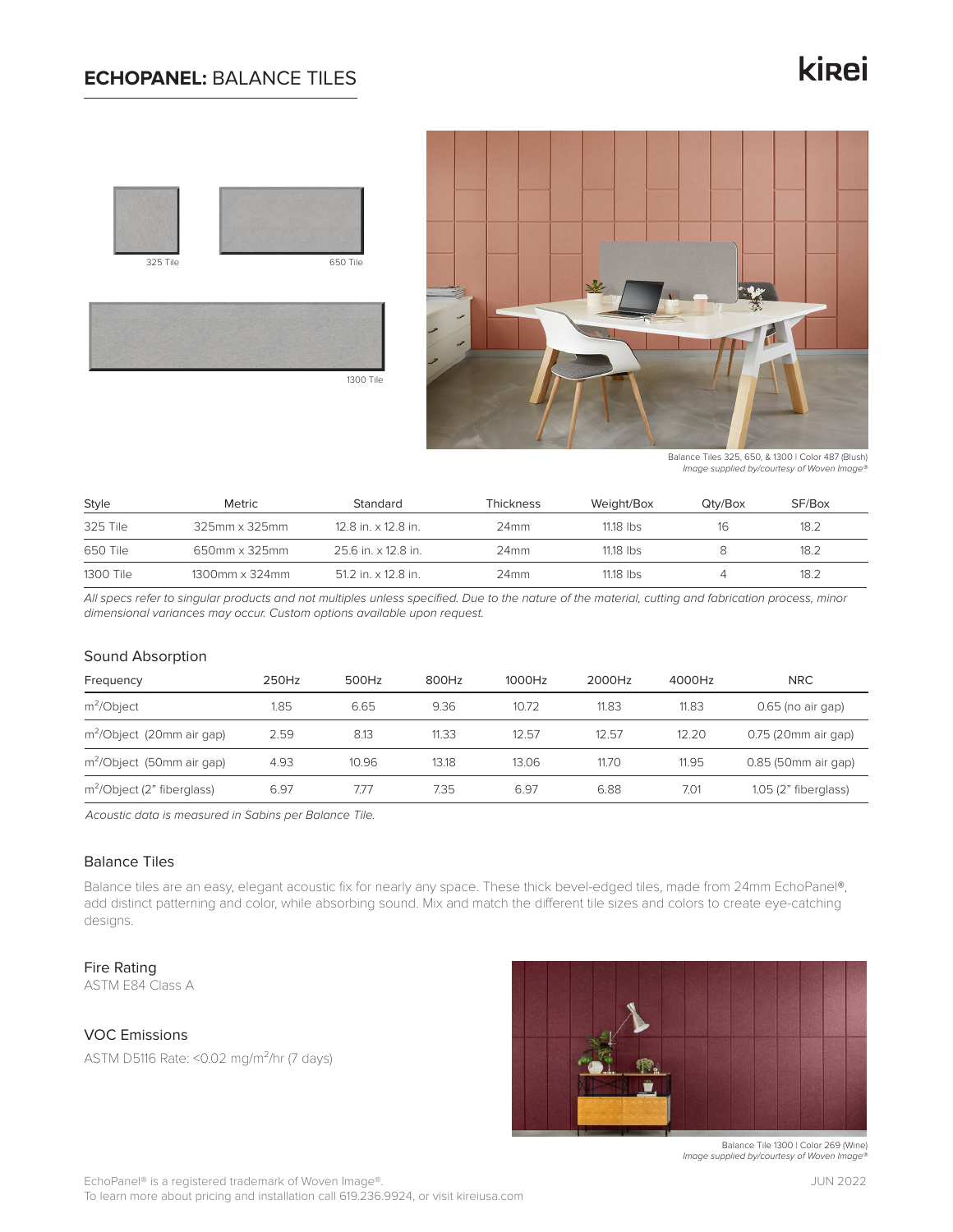# **ECHOPANEL:** BALANCE TILES

# kinei





Balance Tiles 325, 650, & 1300 | Color 487 (Blush) *Image supplied by/courtesy of Woven Image®*

| Style     | Metric         | Standard            | Thickness        | Weight/Box  | Qtv/Box | SF/Box |
|-----------|----------------|---------------------|------------------|-------------|---------|--------|
| 325 Tile  | 325mm x 325mm  | 12.8 in. x 12.8 in. | 24 <sub>mm</sub> | $11.18$ lbs |         | 18.2   |
| 650 Tile  | 650mm x 325mm  | 25.6 in. x 12.8 in. | 24 <sub>mm</sub> | $11.18$ lbs |         | 18.2   |
| 1300 Tile | 1300mm x 324mm | 51.2 in. x 12.8 in. | 24 <sub>mm</sub> | $11.18$ lbs |         | 18.2   |

1300 Tile

*All specs refer to singular products and not multiples unless specified. Due to the nature of the material, cutting and fabrication process, minor dimensional variances may occur. Custom options available upon request.*

## Sound Absorption

| Frequency                              | 250Hz | 500Hz | 800Hz | 1000Hz | 2000Hz | 4000Hz | <b>NRC</b>             |
|----------------------------------------|-------|-------|-------|--------|--------|--------|------------------------|
| $m^2$ <i>Object</i>                    | 1.85  | 6.65  | 9.36  | 10.72  | 11.83  | 11.83  | $0.65$ (no air gap)    |
| m <sup>2</sup> /Object (20mm air gap)  | 2.59  | 8.13  | 11.33 | 12.57  | 12.57  | 12.20  | 0.75 (20mm air gap)    |
| $m^2$ /Object (50mm air gap)           | 4.93  | 10.96 | 13.18 | 13.06  | 11.70  | 11.95  | 0.85 (50mm air gap)    |
| m <sup>2</sup> /Object (2" fiberglass) | 6.97  | 7.77  | 7.35  | 6.97   | 6.88   | 7.01   | $1.05$ (2" fiberglass) |

*Acoustic data is measured in Sabins per Balance Tile.*

## Balance Tiles

Balance tiles are an easy, elegant acoustic fix for nearly any space. These thick bevel-edged tiles, made from 24mm EchoPanel®, add distinct patterning and color, while absorbing sound. Mix and match the different tile sizes and colors to create eye-catching designs.

#### Fire Rating

ASTM E84 Class A

# VOC Emissions

ASTM D5116 Rate: <0.02 mg/m²/hr (7 days)



Balance Tile 1300 | Color 269 (Wine) *Image supplied by/courtesy of Woven Image®*